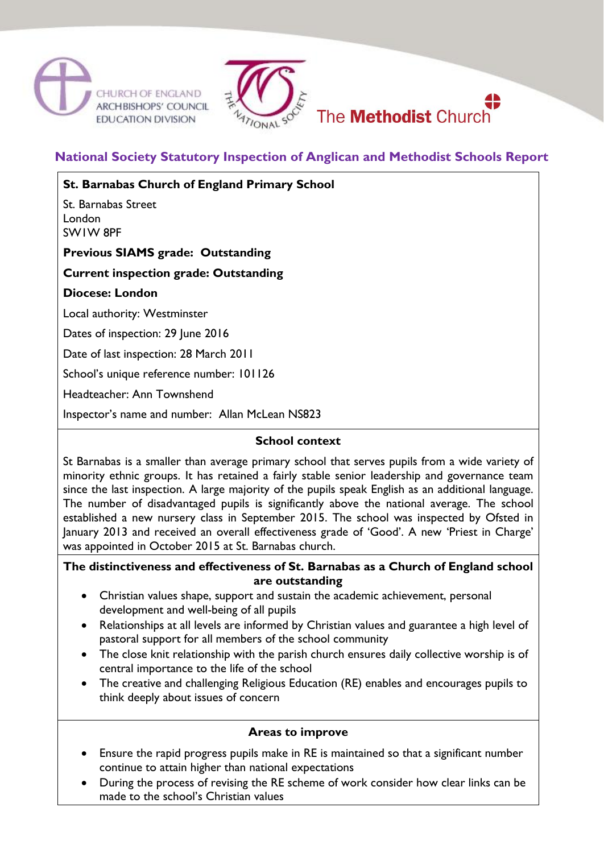



# **National Society Statutory Inspection of Anglican and Methodist Schools Report**

**St. Barnabas Church of England Primary School**

St. Barnabas Street London SW1W 8PF

**Previous SIAMS grade: Outstanding**

## **Current inspection grade: Outstanding**

#### **Diocese: London**

Local authority: Westminster

Dates of inspection: 29 June 2016

Date of last inspection: 28 March 2011

School's unique reference number: 101126

Headteacher: Ann Townshend

Inspector's name and number: Allan McLean NS823

#### **School context**

St Barnabas is a smaller than average primary school that serves pupils from a wide variety of minority ethnic groups. It has retained a fairly stable senior leadership and governance team since the last inspection. A large majority of the pupils speak English as an additional language. The number of disadvantaged pupils is significantly above the national average. The school established a new nursery class in September 2015. The school was inspected by Ofsted in January 2013 and received an overall effectiveness grade of 'Good'. A new 'Priest in Charge' was appointed in October 2015 at St. Barnabas church.

**The distinctiveness and effectiveness of St. Barnabas as a Church of England school are outstanding**

- Christian values shape, support and sustain the academic achievement, personal development and well-being of all pupils
- Relationships at all levels are informed by Christian values and guarantee a high level of pastoral support for all members of the school community
- The close knit relationship with the parish church ensures daily collective worship is of central importance to the life of the school
- The creative and challenging Religious Education (RE) enables and encourages pupils to think deeply about issues of concern

#### **Areas to improve**

- Ensure the rapid progress pupils make in RE is maintained so that a significant number continue to attain higher than national expectations
- During the process of revising the RE scheme of work consider how clear links can be made to the school's Christian values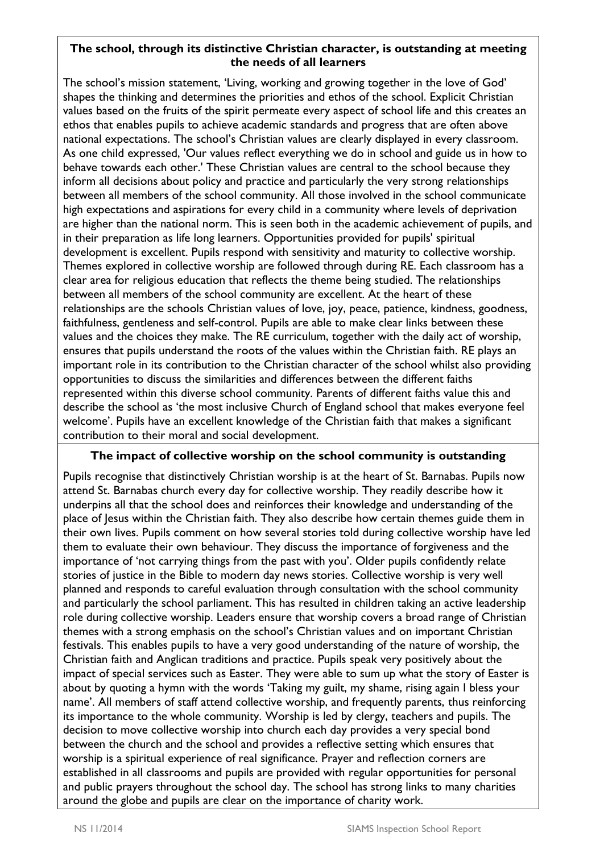## **The school, through its distinctive Christian character, is outstanding at meeting the needs of all learners**

The school's mission statement, 'Living, working and growing together in the love of God' shapes the thinking and determines the priorities and ethos of the school. Explicit Christian values based on the fruits of the spirit permeate every aspect of school life and this creates an ethos that enables pupils to achieve academic standards and progress that are often above national expectations. The school's Christian values are clearly displayed in every classroom. As one child expressed, 'Our values reflect everything we do in school and guide us in how to behave towards each other.' These Christian values are central to the school because they inform all decisions about policy and practice and particularly the very strong relationships between all members of the school community. All those involved in the school communicate high expectations and aspirations for every child in a community where levels of deprivation are higher than the national norm. This is seen both in the academic achievement of pupils, and in their preparation as life long learners. Opportunities provided for pupils' spiritual development is excellent. Pupils respond with sensitivity and maturity to collective worship. Themes explored in collective worship are followed through during RE. Each classroom has a clear area for religious education that reflects the theme being studied. The relationships between all members of the school community are excellent. At the heart of these relationships are the schools Christian values of love, joy, peace, patience, kindness, goodness, faithfulness, gentleness and self-control. Pupils are able to make clear links between these values and the choices they make. The RE curriculum, together with the daily act of worship, ensures that pupils understand the roots of the values within the Christian faith. RE plays an important role in its contribution to the Christian character of the school whilst also providing opportunities to discuss the similarities and differences between the different faiths represented within this diverse school community. Parents of different faiths value this and describe the school as 'the most inclusive Church of England school that makes everyone feel welcome'. Pupils have an excellent knowledge of the Christian faith that makes a significant contribution to their moral and social development.

#### **The impact of collective worship on the school community is outstanding**

Pupils recognise that distinctively Christian worship is at the heart of St. Barnabas. Pupils now attend St. Barnabas church every day for collective worship. They readily describe how it underpins all that the school does and reinforces their knowledge and understanding of the place of Jesus within the Christian faith. They also describe how certain themes guide them in their own lives. Pupils comment on how several stories told during collective worship have led them to evaluate their own behaviour. They discuss the importance of forgiveness and the importance of 'not carrying things from the past with you'. Older pupils confidently relate stories of justice in the Bible to modern day news stories. Collective worship is very well planned and responds to careful evaluation through consultation with the school community and particularly the school parliament. This has resulted in children taking an active leadership role during collective worship. Leaders ensure that worship covers a broad range of Christian themes with a strong emphasis on the school's Christian values and on important Christian festivals. This enables pupils to have a very good understanding of the nature of worship, the Christian faith and Anglican traditions and practice. Pupils speak very positively about the impact of special services such as Easter. They were able to sum up what the story of Easter is about by quoting a hymn with the words 'Taking my guilt, my shame, rising again I bless your name'. All members of staff attend collective worship, and frequently parents, thus reinforcing its importance to the whole community. Worship is led by clergy, teachers and pupils. The decision to move collective worship into church each day provides a very special bond between the church and the school and provides a reflective setting which ensures that worship is a spiritual experience of real significance. Prayer and reflection corners are established in all classrooms and pupils are provided with regular opportunities for personal and public prayers throughout the school day. The school has strong links to many charities around the globe and pupils are clear on the importance of charity work.